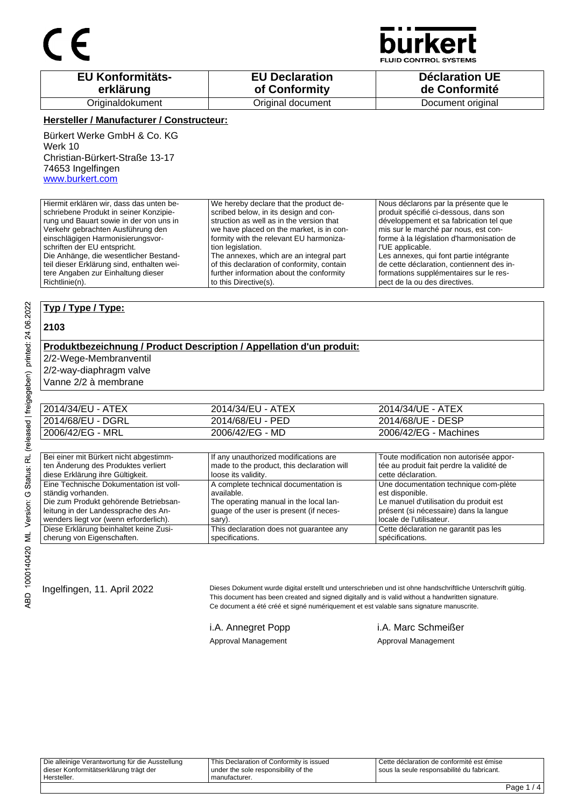

**JID CONTROL SYSTEMS** 

| <b>EU Konformitäts-</b> | <b>EU Declaration</b> | <b>Déclaration UE</b> |
|-------------------------|-----------------------|-----------------------|
| erklärung               | of Conformity         | de Conformité         |
| Originaldokument        | Original document     | Document original     |

#### **Hersteller / Manufacturer / Constructeur:**

Bürkert Werke GmbH & Co. KG Werk 10 Christian-Bürkert-Straße 13-17 74653 Ingelfingen www.burkert.com

Hiermit erklären wir, dass das unten beschriebene Produkt in seiner Konzipierung und Bauart sowie in der von uns in Verkehr gebrachten Ausführung den einschlägigen Harmonisierungsvorschriften der EU entspricht. Die Anhänge, die wesentlicher Bestandteil dieser Erklärung sind, enthalten wei-We hereby declare that the product described below, in its design and construction as well as in the version that we have placed on the market, is in conformity with the relevant EU harmonization legislation. The annexes, which are an integral part

of this declaration of conformity, contain further information about the conformity to this Directive(s).

Nous déclarons par la présente que le produit spécifié ci-dessous, dans son développement et sa fabrication tel que mis sur le marché par nous, est conforme à la législation d'harmonisation de l'UE applicable. Les annexes, qui font partie intégrante

de cette déclaration, contiennent des informations supplémentaires sur le respect de la ou des directives.

#### **Typ / Type / Type:**

tere Angaben zur Einhaltung dieser

#### **2103**

Richtlinie(n).

### **Produktbezeichnung / Product Description / Appellation d'un produit:**

2/2-Wege-Membranventil

2/2-way-diaphragm valve

Vanne 2/2 à membrane

| 2014/34/EU - ATEX | 2014/34/EU - ATEX | 2014/34/UE - ATEX     |
|-------------------|-------------------|-----------------------|
| 2014/68/EU - DGRL | 2014/68/EU - PED  | 2014/68/UE - DESP     |
| 2006/42/EG - MRL  | 2006/42/EG - MD   | 2006/42/EG - Machines |

| Bei einer mit Bürkert nicht abgestimm-  | If any unauthorized modifications are      | Toute modification non autorisée appor-   |
|-----------------------------------------|--------------------------------------------|-------------------------------------------|
| ten Änderung des Produktes verliert     | made to the product, this declaration will | tée au produit fait perdre la validité de |
| diese Erklärung ihre Gültigkeit.        | loose its validity.                        | cette déclaration.                        |
| Eine Technische Dokumentation ist voll- | A complete technical documentation is      | Une documentation technique com-plète     |
| ständig vorhanden.                      | available.                                 | est disponible.                           |
| Die zum Produkt gehörende Betriebsan-   | The operating manual in the local lan-     | Le manuel d'utilisation du produit est    |
| leitung in der Landessprache des An-    | quage of the user is present (if neces-    | présent (si nécessaire) dans la langue    |
| wenders liegt vor (wenn erforderlich).  | sary).                                     | locale de l'utilisateur.                  |
| Diese Erklärung beinhaltet keine Zusi-  | This declaration does not quarantee any    | Cette déclaration ne garantit pas les     |
| cherung von Eigenschaften.              | specifications.                            | spécifications.                           |

Ingelfingen, 11. April 2022 Dieses Dokument wurde digital erstellt und unterschrieben und ist ohne handschriftliche Unterschrift gültig. This document has been created and signed digitally and is valid without a handwritten signature. Ce document a été créé et signé numériquement et est valable sans signature manuscrite.

Approval Management Approval Management

i.A. Annegret Popp i.A. Marc Schmeißer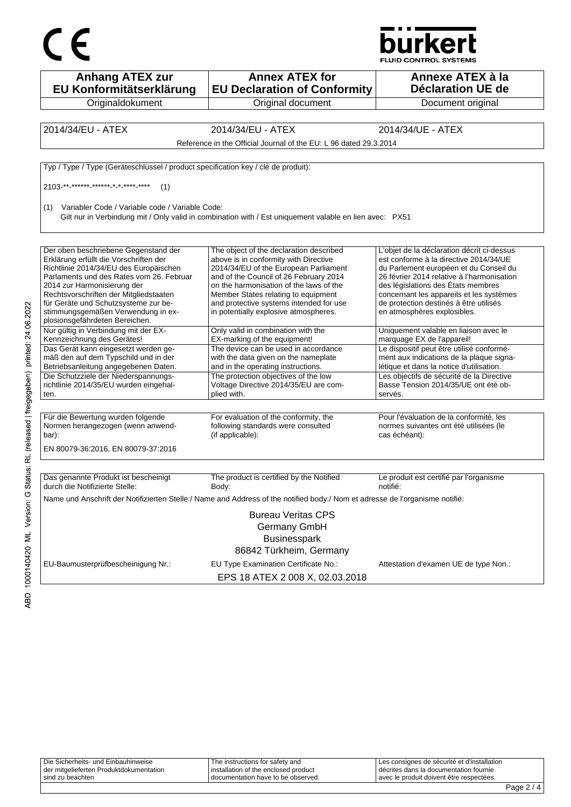



| <b>Anhang ATEX zur</b><br>EU Konformitätserklärung                                | <b>Annex ATEX for</b><br><b>EU Declaration of Conformity</b>                                                                 | Annexe ATEX à la<br><b>Déclaration UE de</b>                                                       |
|-----------------------------------------------------------------------------------|------------------------------------------------------------------------------------------------------------------------------|----------------------------------------------------------------------------------------------------|
| Originaldokument                                                                  | Original document                                                                                                            | Document original                                                                                  |
|                                                                                   |                                                                                                                              |                                                                                                    |
| 2014/34/EU - ATEX                                                                 | 2014/34/EU - ATEX                                                                                                            | 2014/34/UE - ATEX                                                                                  |
|                                                                                   | Reference in the Official Journal of the EU: L 96 dated 29.3.2014                                                            |                                                                                                    |
|                                                                                   |                                                                                                                              |                                                                                                    |
| Typ / Type / Type (Geräteschlüssel / product specification key / clé de produit): |                                                                                                                              |                                                                                                    |
| 2103-**-****** ****** * * **** ****<br>(1)                                        |                                                                                                                              |                                                                                                    |
| Variabler Code / Variable code / Variable Code:<br>(1)                            | Gilt nur in Verbindung mit / Only valid in combination with / Est uniquement valable en lien avec: PX51                      |                                                                                                    |
|                                                                                   |                                                                                                                              |                                                                                                    |
| Der oben beschriebene Gegenstand der<br>Erklärung erfüllt die Vorschriften der    | The object of the declaration described<br>above is in conformity with Directive                                             | L'objet de la déclaration décrit ci-dessus<br>est conforme à la directive 2014/34/UE               |
| Richtlinie 2014/34/EU des Europäischen                                            | 2014/34/EU of the European Parliament                                                                                        | du Parlement européen et du Conseil du                                                             |
| Parlaments und des Rates vom 26. Februar<br>2014 zur Harmonisierung der           | and of the Council of 26 February 2014<br>on the harmonisation of the laws of the                                            | 26 février 2014 relative à l'harmonisation<br>des législations des États membres                   |
| Rechtsvorschriften der Mitgliedstaaten                                            | Member States relating to equipment                                                                                          | concernant les appareils et les systèmes                                                           |
| für Geräte und Schutzsysteme zur be-                                              | and protective systems intended for use                                                                                      | de protection destinés à être utilisés                                                             |
| stimmungsgemäßen Verwendung in ex-<br>plosionsgefährdeten Bereichen.              | in potentially explosive atmospheres.                                                                                        | en atmosphères explosibles.                                                                        |
| Nur gültig in Verbindung mit der EX-<br>Kennzeichnung des Gerätes!                | Only valid in combination with the<br>EX-marking of the equipment!                                                           | Uniquement valable en liaison avec le<br>marquage EX de l'appareil!                                |
| Das Gerät kann eingesetzt werden ge-                                              | The device can be used in accordance                                                                                         | Le dispositif peut être utilisé conformé-                                                          |
| mäß den auf dem Typschild und in der<br>Betriebsanleitung angegebenen Daten.      | with the data given on the nameplate<br>and in the operating instructions.                                                   | ment aux indications de la plaque signa-<br>létique et dans la notice d'utilisation.               |
| Die Schutzziele der Niederspannungs-                                              | The protection objectives of the low                                                                                         | Les objectifs de sécurité de la Directive                                                          |
| richtlinie 2014/35/EU wurden eingehal-<br>ten.                                    | Voltage Directive 2014/35/EU are com-<br>plied with.                                                                         | Basse Tension 2014/35/UE ont été ob-<br>servés.                                                    |
|                                                                                   |                                                                                                                              |                                                                                                    |
| Für die Bewertung wurden folgende<br>Normen herangezogen (wenn anwend-<br>bar):   | For evaluation of the conformity, the<br>following standards were consulted<br>(if applicable):                              | Pour l'évaluation de la conformité, les<br>normes suivantes ont été utilisées (le<br>cas échéant): |
| EN 80079-36:2016, EN 80079-37:2016                                                |                                                                                                                              |                                                                                                    |
|                                                                                   |                                                                                                                              |                                                                                                    |
| Das genannte Produkt ist bescheinigt<br>durch die Notifizierte Stelle:            | The product is certified by the Notified<br>Body:                                                                            | Le produit est certifié par l'organisme<br>notifié:                                                |
|                                                                                   | Name und Anschrift der Notifizierten Stelle:/ Name and Address of the notified body:/ Nom et adresse de l'organisme notifié: |                                                                                                    |
|                                                                                   | <b>Bureau Veritas CPS</b>                                                                                                    |                                                                                                    |
|                                                                                   | Germany GmbH                                                                                                                 |                                                                                                    |
|                                                                                   | <b>Businesspark</b>                                                                                                          |                                                                                                    |
|                                                                                   | 86842 Türkheim, Germany                                                                                                      |                                                                                                    |
| EU-Baumusterprüfbescheinigung Nr.:                                                | EU Type Examination Certificate No.:                                                                                         | Attestation d'examen UE de type Non.:                                                              |
|                                                                                   | EPS 18 ATEX 2 008 X, 02.03.2018                                                                                              |                                                                                                    |

| der mitgelieferten Produktdokumentation | l installation of the enclosed product | I décrites dans la documentation fournie    |  |
|-----------------------------------------|----------------------------------------|---------------------------------------------|--|
| sind zu beachten                        | I documentation have to be observed.   | l avec le produit doivent être respectées.  |  |
| Die Sicherheits- und Einbauhinweise     | The instructions for safety and        | Les consignes de sécurité et d'installation |  |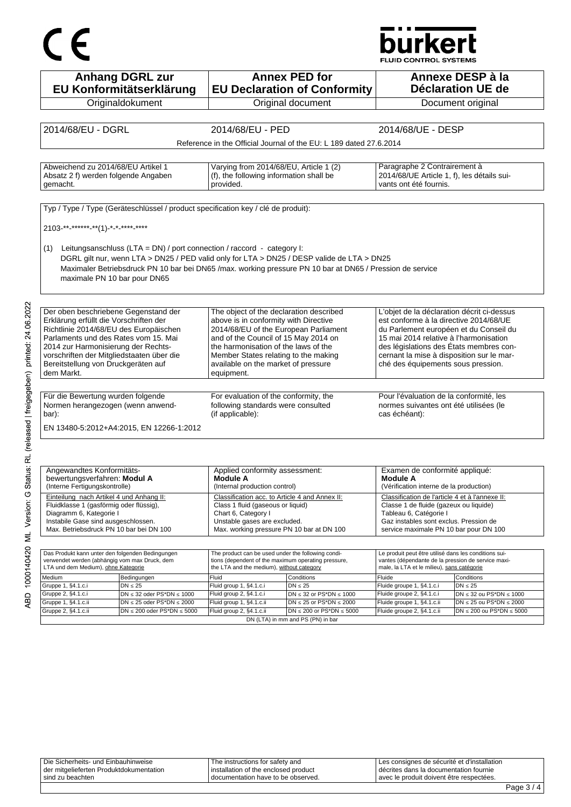# CE

## **burkert**

FLUID CONTROL SYSTEMS

| <b>Anhang DGRL zur</b>                                                                                    |                                                                              | <b>Annex PED for</b>                                                      |                                                                                                             | Annexe DESP à la                                                                 |  |
|-----------------------------------------------------------------------------------------------------------|------------------------------------------------------------------------------|---------------------------------------------------------------------------|-------------------------------------------------------------------------------------------------------------|----------------------------------------------------------------------------------|--|
| EU Konformitätserklärung                                                                                  |                                                                              | <b>Déclaration UE de</b><br><b>EU Declaration of Conformity</b>           |                                                                                                             |                                                                                  |  |
| Originaldokument                                                                                          |                                                                              | Original document                                                         |                                                                                                             | Document original                                                                |  |
|                                                                                                           |                                                                              |                                                                           |                                                                                                             |                                                                                  |  |
| 2014/68/EU - DGRL                                                                                         | 2014/68/EU - PED                                                             |                                                                           | 2014/68/UE - DESP                                                                                           |                                                                                  |  |
|                                                                                                           |                                                                              | Reference in the Official Journal of the EU: L 189 dated 27.6.2014        |                                                                                                             |                                                                                  |  |
|                                                                                                           |                                                                              |                                                                           |                                                                                                             |                                                                                  |  |
| Abweichend zu 2014/68/EU Artikel 1                                                                        |                                                                              | Varying from 2014/68/EU, Article 1 (2)                                    |                                                                                                             | Paragraphe 2 Contrairement à                                                     |  |
| Absatz 2 f) werden folgende Angaben<br>gemacht.                                                           | (f), the following information shall be<br>provided.                         |                                                                           | 2014/68/UE Article 1, f), les détails sui-<br>vants ont été fournis.                                        |                                                                                  |  |
|                                                                                                           |                                                                              |                                                                           |                                                                                                             |                                                                                  |  |
| Typ / Type / Type (Geräteschlüssel / product specification key / clé de produit):                         |                                                                              |                                                                           |                                                                                                             |                                                                                  |  |
| 2103-**-******-**(1)-*-*-****-****                                                                        |                                                                              |                                                                           |                                                                                                             |                                                                                  |  |
|                                                                                                           |                                                                              |                                                                           |                                                                                                             |                                                                                  |  |
| Leitungsanschluss (LTA = DN) / port connection / raccord - category I:<br>(1)                             |                                                                              |                                                                           |                                                                                                             |                                                                                  |  |
| DGRL gilt nur, wenn LTA > DN25 / PED valid only for LTA > DN25 / DESP valide de LTA > DN25                |                                                                              |                                                                           |                                                                                                             |                                                                                  |  |
| Maximaler Betriebsdruck PN 10 bar bei DN65 /max. working pressure PN 10 bar at DN65 / Pression de service |                                                                              |                                                                           |                                                                                                             |                                                                                  |  |
| maximale PN 10 bar pour DN65                                                                              |                                                                              |                                                                           |                                                                                                             |                                                                                  |  |
|                                                                                                           |                                                                              |                                                                           |                                                                                                             |                                                                                  |  |
| Der oben beschriebene Gegenstand der                                                                      | The object of the declaration described                                      |                                                                           | L'objet de la déclaration décrit ci-dessus                                                                  |                                                                                  |  |
| Erklärung erfüllt die Vorschriften der                                                                    | above is in conformity with Directive                                        |                                                                           | est conforme à la directive 2014/68/UE                                                                      |                                                                                  |  |
| Richtlinie 2014/68/EU des Europäischen                                                                    |                                                                              | 2014/68/EU of the European Parliament                                     | du Parlement européen et du Conseil du                                                                      |                                                                                  |  |
| Parlaments und des Rates vom 15. Mai                                                                      | and of the Council of 15 May 2014 on                                         |                                                                           | 15 mai 2014 relative à l'harmonisation                                                                      |                                                                                  |  |
| 2014 zur Harmonisierung der Rechts-<br>vorschriften der Mitgliedstaaten über die                          | the harmonisation of the laws of the<br>Member States relating to the making |                                                                           | des législations des États membres con-<br>cernant la mise à disposition sur le mar-                        |                                                                                  |  |
| Bereitstellung von Druckgeräten auf                                                                       | available on the market of pressure                                          |                                                                           | ché des équipements sous pression.                                                                          |                                                                                  |  |
| dem Markt.                                                                                                | equipment.                                                                   |                                                                           |                                                                                                             |                                                                                  |  |
|                                                                                                           |                                                                              |                                                                           |                                                                                                             |                                                                                  |  |
| Für die Bewertung wurden folgende                                                                         | For evaluation of the conformity, the                                        |                                                                           | Pour l'évaluation de la conformité, les                                                                     |                                                                                  |  |
| Normen herangezogen (wenn anwend-<br>bar):                                                                |                                                                              | following standards were consulted                                        |                                                                                                             | normes suivantes ont été utilisées (le                                           |  |
|                                                                                                           | (if applicable):<br>cas échéant):                                            |                                                                           |                                                                                                             |                                                                                  |  |
| EN 13480-5:2012+A4:2015, EN 12266-1:2012                                                                  |                                                                              |                                                                           |                                                                                                             |                                                                                  |  |
|                                                                                                           |                                                                              |                                                                           |                                                                                                             |                                                                                  |  |
|                                                                                                           |                                                                              |                                                                           |                                                                                                             |                                                                                  |  |
| Angewandtes Konformitäts-                                                                                 | Applied conformity assessment:                                               |                                                                           | Examen de conformité appliqué:                                                                              |                                                                                  |  |
| bewertungsverfahren: Modul A                                                                              | Module A                                                                     |                                                                           | <b>Module A</b>                                                                                             |                                                                                  |  |
| (Interne Fertigungskontrolle)                                                                             |                                                                              | (Internal production control)<br>(Vérification interne de la production)  |                                                                                                             |                                                                                  |  |
| Einteilung nach Artikel 4 und Anhang II:<br>Fluidklasse 1 (gasförmig oder flüssig),                       | Classification acc. to Article 4 and Annex II:                               |                                                                           | Classification de l'article 4 et à l'annexe II:<br>Classe 1 de fluide (gazeux ou liquide)                   |                                                                                  |  |
| Diagramm 6, Kategorie I                                                                                   | Chart 6, Category I                                                          | Class 1 fluid (gaseous or liquid)                                         |                                                                                                             |                                                                                  |  |
| Instabile Gase sind ausgeschlossen.<br>Max. Betriebsdruck PN 10 bar bei DN 100                            |                                                                              | Unstable gases are excluded.<br>Max. working pressure PN 10 bar at DN 100 |                                                                                                             | Gaz instables sont exclus. Pression de<br>service maximale PN 10 bar pour DN 100 |  |
|                                                                                                           |                                                                              |                                                                           |                                                                                                             |                                                                                  |  |
|                                                                                                           |                                                                              |                                                                           |                                                                                                             |                                                                                  |  |
| Das Produkt kann unter den folgenden Bedingungen<br>verwendet werden (abhängig vom max Druck, dem         | The product can be used under the following condi-                           | tions (dependent of the maximum operating pressure,                       | Le produit peut être utilisé dans les conditions sui-<br>vantes (dépendante de la pression de service maxi- |                                                                                  |  |
| LTA und dem Medium), ohne Kategorie                                                                       | the LTA and the medium), without category                                    |                                                                           | male, la LTA et le milieu), sans catégorie                                                                  |                                                                                  |  |
| Medium<br>Bedingungen                                                                                     | Fluid                                                                        | Conditions                                                                | Fluide                                                                                                      | Conditions                                                                       |  |
| Gruppe 1, §4.1.c.i<br>$DN \leq 25$<br>Gruppe 2, §4.1.c.i<br>$DN \leq 32$ oder PS*DN $\leq 1000$           | Fluid group 1, §4.1.c.i<br>Fluid group 2, §4.1.c.i                           | $DN \leq 25$<br>DN $\leq$ 32 or PS*DN $\leq$ 1000                         | Fluide groupe 1, §4.1.c.i<br>Fluide groupe 2, §4.1.c.i                                                      | $DN \leq 25$<br>$DN \leq 32$ ou PS*DN $\leq 1000$                                |  |
| Gruppe 1, §4.1.c.ii<br>$DN \le 25$ oder PS*DN $\le 2000$                                                  | Fluid group 1, §4.1.c.ii                                                     | $DN \le 25$ or PS*DN $\le 2000$                                           | Fluide groupe 1, §4.1.c.ii                                                                                  | $DN \le 25$ ou PS*DN $\le 2000$                                                  |  |
| Gruppe 2, §4.1.c.ii<br>$DN \le 200$ oder PS*DN $\le 5000$                                                 | Fluid group 2, §4.1.c.ii                                                     | $DN \le 200$ or PS*DN $\le 5000$                                          | Fluide groupe 2, §4.1.c.ii                                                                                  | $DN \le 200$ ou PS*DN $\le 5000$                                                 |  |

| sind zu beachten                         | I documentation have to be observed.   | avec le produit doivent être respectées.    |  |
|------------------------------------------|----------------------------------------|---------------------------------------------|--|
| der mitgelieferten Produktdokumentation  | I installation of the enclosed product | I décrites dans la documentation fournie    |  |
| Die Sicherheits- und<br>d Einbauhinweise | The instructions for safety and        | Les consignes de sécurité et d'installation |  |

DN (LTA) in mm and PS (PN) in bar